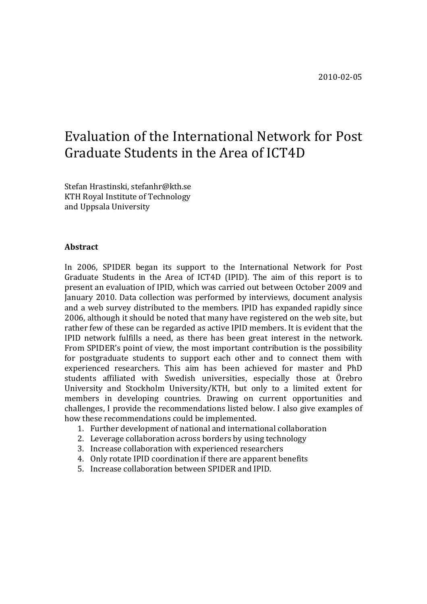# Evaluation of the International Network for Post Graduate Students in the Area of ICT4D

Stefan Hrastinski, stefanhr@kth.se KTH Royal Institute of Technology and Uppsala University

#### **Abstract**

In 2006, SPIDER began its support to the International Network for Post Graduate Students in the Area of ICT4D (IPID). The aim of this report is to present an evaluation of IPID, which was carried out between October 2009 and January 2010. Data collection was performed by interviews, document analysis and a web survey distributed to the members. IPID has expanded rapidly since 2006, although it should be noted that many have registered on the web site, but rather few of these can be regarded as active IPID members. It is evident that the IPID network fulfills a need, as there has been great interest in the network. From SPIDER's point of view, the most important contribution is the possibility for postgraduate students to support each other and to connect them with experienced researchers. This aim has been achieved for master and PhD students affiliated with Swedish universities, especially those at Örebro University and Stockholm University/KTH, but only to a limited extent for members in developing countries. Drawing on current opportunities and challenges, I provide the recommendations listed below. I also give examples of how these recommendations could be implemented.

- 1. Further development of national and international collaboration
- 2. Leverage collaboration across borders by using technology
- 3. Increase collaboration with experienced researchers
- 4. Only rotate IPID coordination if there are apparent benefits
- 5. Increase collaboration between SPIDER and IPID.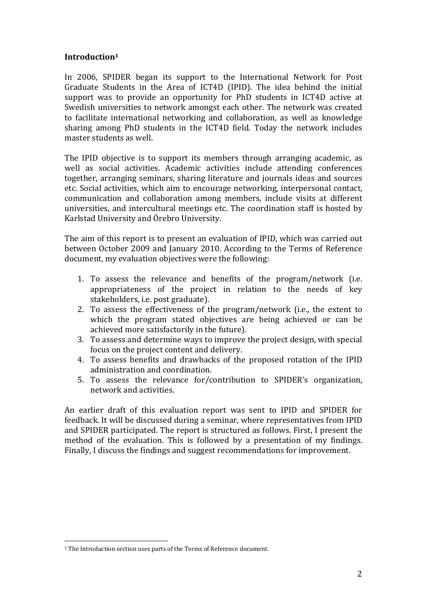## **Introduction1**

In 2006, SPIDER began its support to the International Network for Post Graduate Students in the Area of ICT4D (IPID). The idea behind the initial support was to provide an opportunity for PhD students in ICT4D active at Swedish universities to network amongst each other. The network was created to facilitate international networking and collaboration, as well as knowledge sharing among PhD students in the ICT4D field. Today the network includes master students as well.

The IPID objective is to support its members through arranging academic, as well as social activities. Academic activities include attending conferences together, arranging seminars, sharing literature and journals ideas and sources etc. Social activities, which aim to encourage networking, interpersonal contact, communication and collaboration among members, include visits at different universities, and intercultural meetings etc. The coordination staff is hosted by Karlstad University and Örebro University.

The aim of this report is to present an evaluation of IPID, which was carried out between October 2009 and January 2010. According to the Terms of Reference document, my evaluation objectives were the following:

- 1. To assess the relevance and benefits of the program/network (i.e. appropriateness of the project in relation to the needs of key stakeholders, i.e. post graduate).
- 2. To assess the effectiveness of the program/network (i.e., the extent to which the program stated objectives are being achieved or can be achieved more satisfactorily in the future).
- 3. To assess and determine ways to improve the project design, with special focus on the project content and delivery.
- 4. To assess benefits and drawbacks of the proposed rotation of the IPID administration and coordination.
- 5. To assess the relevance for/contribution to SPIDER's organization, network and activities.

An earlier draft of this evaluation report was sent to IPID and SPIDER for feedback. It will be discussed during a seminar, where representatives from IPID and SPIDER participated. The report is structured as follows. First, I present the method of the evaluation. This is followed by a presentation of my findings. Finally, I discuss the findings and suggest recommendations for improvement.

!!!!!!!!!!!!!!!!!!!!!!!!!!!!!!!!!!!!!!!!!!!!!!!!!!!!!!!

 $^{\rm 1}$  The Introduction section uses parts of the Terms of Reference document.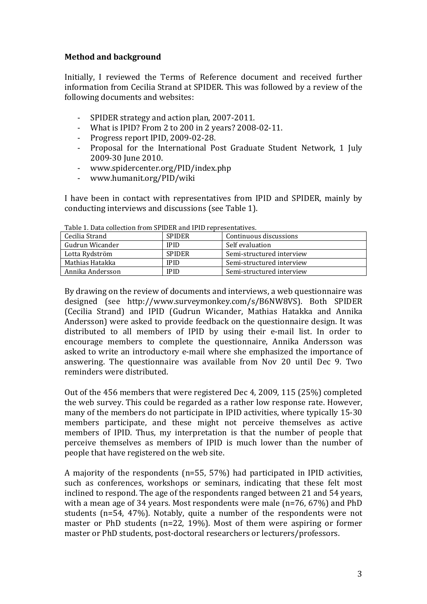# **Method!and!background**

Initially, I reviewed the Terms of Reference document and received further information from Cecilia Strand at SPIDER. This was followed by a review of the following documents and websites:

- SPIDER strategy and action plan, 2007-2011.
- What is IPID? From 2 to 200 in 2 years?  $2008-02-11$ .
- Progress report IPID, 2009-02-28.
- Proposal for the International Post Graduate Student Network, 1 July 2009-30 June 2010.
- www.spidercenter.org/PID/index.php
- % www.humanit.org/PID/wiki

I have been in contact with representatives from IPID and SPIDER, mainly by conducting interviews and discussions (see Table 1).

| Cecilia Strand   | <b>SPIDER</b> | Continuous discussions    |
|------------------|---------------|---------------------------|
| Gudrun Wicander  | <b>IPID</b>   | Self evaluation           |
| Lotta Rydström   | <b>SPIDER</b> | Semi-structured interview |
| Mathias Hatakka  | IPID          | Semi-structured interview |
| Annika Andersson | IPID          | Semi-structured interview |

Table 1. Data collection from SPIDER and IPID representatives.

By drawing on the review of documents and interviews, a web questionnaire was designed (see http://www.surveymonkey.com/s/B6NW8VS). Both SPIDER (Cecilia Strand) and IPID (Gudrun Wicander, Mathias Hatakka and Annika Andersson) were asked to provide feedback on the questionnaire design. It was distributed to all members of IPID by using their e-mail list. In order to encourage members to complete the questionnaire. Annika Andersson was asked to write an introductory e-mail where she emphasized the importance of answering. The questionnaire was available from Nov 20 until Dec 9. Two reminders were distributed.

Out of the 456 members that were registered Dec 4, 2009, 115 (25%) completed the web survey. This could be regarded as a rather low response rate. However, many of the members do not participate in IPID activities, where typically 15-30 members participate, and these might not perceive themselves as active members of IPID. Thus, my interpretation is that the number of people that perceive themselves as members of IPID is much lower than the number of people that have registered on the web site.

A majority of the respondents (n=55, 57%) had participated in IPID activities, such as conferences, workshops or seminars, indicating that these felt most inclined to respond. The age of the respondents ranged between 21 and 54 years, with a mean age of 34 years. Most respondents were male (n=76, 67%) and PhD students (n=54,  $47\%$ ). Notably, quite a number of the respondents were not master or PhD students (n=22, 19%). Most of them were aspiring or former master or PhD students, post-doctoral researchers or lecturers/professors.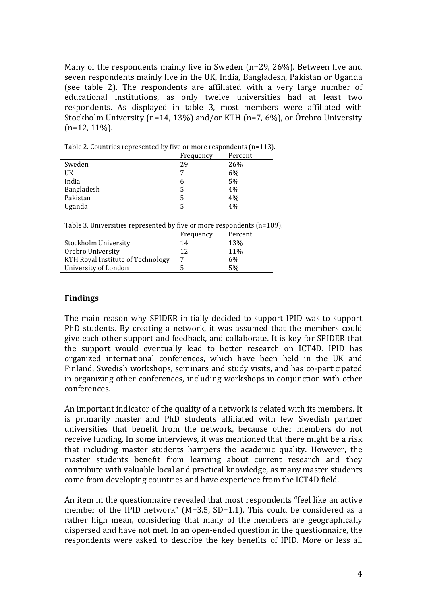Many of the respondents mainly live in Sweden (n=29, 26%). Between five and seven respondents mainly live in the UK, India, Bangladesh, Pakistan or Uganda (see table 2). The respondents are affiliated with a very large number of educational institutions, as only twelve universities had at least two respondents. As displayed in table 3, most members were affiliated with Stockholm University (n=14, 13%) and/or KTH (n=7, 6%), or Örebro University  $(n=12, 11\%)$ .

| Table 2. Countries represented by five or more respondents (n=113). |           |         |
|---------------------------------------------------------------------|-----------|---------|
|                                                                     | Frequency | Percent |
|                                                                     |           | 0.001   |

|            | 11 cuucilch | 1 U.UU |
|------------|-------------|--------|
| Sweden     | 29          | 26%    |
| UK         |             | 6%     |
| India      | 6           | 5%     |
| Bangladesh | 5           | 4%     |
| Pakistan   | 5           | 4%     |
| Uganda     |             | 4%     |

Table 3. Universities represented by five or more respondents (n=109).

|                                   | Frequency | Percent |  |
|-----------------------------------|-----------|---------|--|
| Stockholm University              | 14        | 13%     |  |
| Örebro University                 | 12        | 11%     |  |
| KTH Royal Institute of Technology |           | 6%      |  |
| University of London              |           | 5%      |  |
|                                   |           |         |  |

## **Findings**

The main reason why SPIDER initially decided to support IPID was to support PhD students. By creating a network, it was assumed that the members could give each other support and feedback, and collaborate. It is key for SPIDER that the support would eventually lead to better research on ICT4D. IPID has organized international conferences, which have been held in the UK and Finland, Swedish workshops, seminars and study visits, and has co-participated in organizing other conferences, including workshops in conjunction with other conferences.

An important indicator of the quality of a network is related with its members. It is primarily master and PhD students affiliated with few Swedish partner universities that benefit from the network, because other members do not receive funding. In some interviews, it was mentioned that there might be a risk that including master students hampers the academic quality. However, the master students benefit from learning about current research and they contribute with valuable local and practical knowledge, as many master students come from developing countries and have experience from the ICT4D field.

An item in the questionnaire revealed that most respondents "feel like an active member of the IPID network" (M=3.5,  $SD=1.1$ ). This could be considered as a rather high mean, considering that many of the members are geographically dispersed and have not met. In an open-ended question in the questionnaire, the respondents were asked to describe the key benefits of IPID. More or less all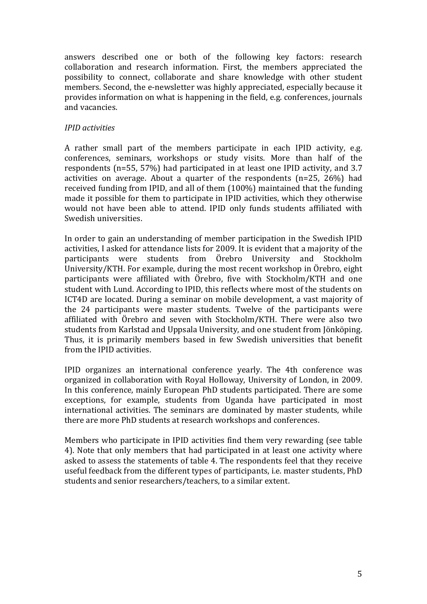answers described one or both of the following key factors: research collaboration and research information. First, the members appreciated the possibility to connect, collaborate and share knowledge with other student members. Second, the e-newsletter was highly appreciated, especially because it provides information on what is happening in the field, e.g. conferences, journals and vacancies.

# *IPID!activities*

A rather small part of the members participate in each IPID activity, e.g. conferences, seminars, workshops or study visits. More than half of the respondents (n=55, 57%) had participated in at least one IPID activity, and 3.7 activities on average. About a quarter of the respondents (n=25,  $26\%$ ) had received funding from IPID, and all of them  $(100\%)$  maintained that the funding made it possible for them to participate in IPID activities, which they otherwise would not have been able to attend. IPID only funds students affiliated with Swedish universities.

In order to gain an understanding of member participation in the Swedish IPID activities. I asked for attendance lists for 2009. It is evident that a majority of the participants were students from Örebro University and Stockholm University/KTH. For example, during the most recent workshop in Örebro, eight participants were affiliated with Örebro, five with Stockholm/KTH and one student with Lund. According to IPID, this reflects where most of the students on ICT4D are located. During a seminar on mobile development, a vast majority of the 24 participants were master students. Twelve of the participants were affiliated with Örebro and seven with Stockholm/KTH. There were also two students from Karlstad and Uppsala University, and one student from Jönköping. Thus, it is primarily members based in few Swedish universities that benefit from the IPID activities.

IPID organizes an international conference vearly. The 4th conference was organized in collaboration with Royal Holloway, University of London, in 2009. In this conference, mainly European PhD students participated. There are some exceptions, for example, students from Uganda have participated in most international activities. The seminars are dominated by master students, while there are more PhD students at research workshops and conferences.

Members who participate in IPID activities find them very rewarding (see table) 4). Note that only members that had participated in at least one activity where asked to assess the statements of table 4. The respondents feel that they receive useful feedback from the different types of participants, i.e. master students, PhD students and senior researchers/teachers, to a similar extent.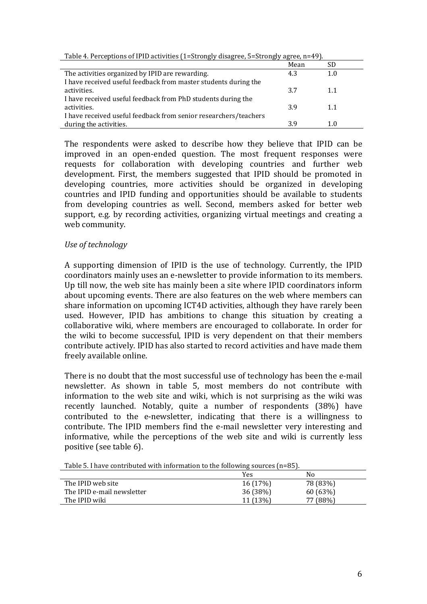| $\frac{1}{2}$ and $\frac{1}{2}$ are $\frac{1}{2}$ and $\frac{1}{2}$ are $\frac{1}{2}$ and $\frac{1}{2}$ and $\frac{1}{2}$ and $\frac{1}{2}$ and $\frac{1}{2}$ and $\frac{1}{2}$ and $\frac{1}{2}$ and $\frac{1}{2}$ and $\frac{1}{2}$ and $\frac{1}{2}$ and $\frac{1}{2}$ and $\frac{1}{2}$ a |      |     |  |
|-----------------------------------------------------------------------------------------------------------------------------------------------------------------------------------------------------------------------------------------------------------------------------------------------|------|-----|--|
|                                                                                                                                                                                                                                                                                               | Mean | SD  |  |
| The activities organized by IPID are rewarding.                                                                                                                                                                                                                                               | 4.3  | 1.0 |  |
| I have received useful feedback from master students during the                                                                                                                                                                                                                               |      |     |  |
| activities.                                                                                                                                                                                                                                                                                   | 3.7  | 1.1 |  |
| I have received useful feedback from PhD students during the                                                                                                                                                                                                                                  |      |     |  |
| activities.                                                                                                                                                                                                                                                                                   | 3.9  | 1.1 |  |
| I have received useful feedback from senior researchers/teachers                                                                                                                                                                                                                              |      |     |  |
| during the activities.                                                                                                                                                                                                                                                                        | 3.9  | 1.0 |  |

Table 4. Perceptions of IPID activities (1=Strongly disagree, 5=Strongly agree, n=49).

The respondents were asked to describe how they believe that IPID can be improved in an open-ended question. The most frequent responses were requests for collaboration with developing countries and further web development. First, the members suggested that IPID should be promoted in developing countries, more activities should be organized in developing countries and IPID funding and opportunities should be available to students from developing countries as well. Second, members asked for better web support, e.g. by recording activities, organizing virtual meetings and creating a web community.

# Use of technology

A supporting dimension of IPID is the use of technology. Currently, the IPID coordinators mainly uses an e-newsletter to provide information to its members. Up till now, the web site has mainly been a site where IPID coordinators inform about upcoming events. There are also features on the web where members can share information on upcoming ICT4D activities, although they have rarely been used. However, IPID has ambitions to change this situation by creating a collaborative wiki, where members are encouraged to collaborate. In order for the wiki to become successful. IPID is very dependent on that their members contribute actively. IPID has also started to record activities and have made them freely available online.

There is no doubt that the most successful use of technology has been the e-mail newsletter. As shown in table 5, most members do not contribute with information to the web site and wiki, which is not surprising as the wiki was recently launched. Notably, quite a number of respondents (38%) have contributed to the e-newsletter, indicating that there is a willingness to contribute. The IPID members find the e-mail newsletter very interesting and informative, while the perceptions of the web site and wiki is currently less positive (see table 6).

|                            | Yes      | No       |
|----------------------------|----------|----------|
| The IPID web site          | 16(17%)  | 78 (83%) |
| The IPID e-mail newsletter | 36(38%)  | 60(63%)  |
| The IPID wiki              | 11 (13%) | 77 (88%) |

Table 5. I have contributed with information to the following sources (n=85).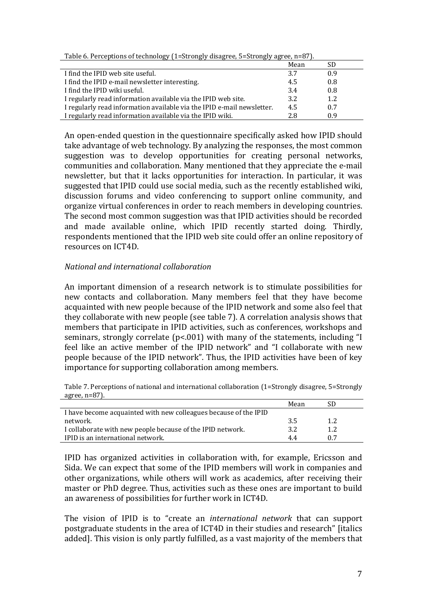| Table of I creeperons of teenhology (1) out ongly along teg of ongly agrees in $\sigma$ , it |      |     |  |
|----------------------------------------------------------------------------------------------|------|-----|--|
|                                                                                              | Mean | SD  |  |
| I find the IPID web site useful.                                                             | 3.7  | 0.9 |  |
| I find the IPID e-mail newsletter interesting.                                               | 4.5  | 0.8 |  |
| I find the IPID wiki useful.                                                                 | 3.4  | 0.8 |  |
| I regularly read information available via the IPID web site.                                | 3.2  | 1.2 |  |
| I regularly read information available via the IPID e-mail newsletter.                       | 4.5  | 0.7 |  |
| I regularly read information available via the IPID wiki.                                    | 2.8  | 0.9 |  |

Table 6. Perceptions of technology (1=Strongly disagree, 5=Strongly agree, n=87).

An open-ended question in the questionnaire specifically asked how IPID should take advantage of web technology. By analyzing the responses, the most common suggestion was to develop opportunities for creating personal networks, communities and collaboration. Many mentioned that they appreciate the e-mail newsletter, but that it lacks opportunities for interaction. In particular, it was suggested that IPID could use social media, such as the recently established wiki, discussion forums and video conferencing to support online community, and organize virtual conferences in order to reach members in developing countries. The second most common suggestion was that IPID activities should be recorded and made available online, which IPID recently started doing. Thirdly, respondents mentioned that the IPID web site could offer an online repository of resources on ICT4D.

# *National!and!international!collaboration*

An important dimension of a research network is to stimulate possibilities for new contacts and collaboration. Many members feel that they have become acquainted with new people because of the IPID network and some also feel that they collaborate with new people (see table 7). A correlation analysis shows that members that participate in IPID activities, such as conferences, workshops and seminars, strongly correlate ( $p$ <.001) with many of the statements, including "I feel like an active member of the IPID network" and "I collaborate with new people because of the IPID network". Thus, the IPID activities have been of key importance for supporting collaboration among members.

Table 7. Perceptions of national and international collaboration (1=Strongly disagree, 5=Strongly agree,  $n=87$ ).

| I have become acquainted with new colleagues because of the IPID<br>network.<br>1.2<br>-3.5<br>I collaborate with new people because of the IPID network.<br>1.2<br>3.2 |                                   | Mean |     |
|-------------------------------------------------------------------------------------------------------------------------------------------------------------------------|-----------------------------------|------|-----|
|                                                                                                                                                                         |                                   |      |     |
|                                                                                                                                                                         |                                   |      |     |
|                                                                                                                                                                         |                                   |      |     |
|                                                                                                                                                                         | IPID is an international network. | 44   | ሰ 7 |

IPID has organized activities in collaboration with, for example, Ericsson and Sida. We can expect that some of the IPID members will work in companies and other organizations, while others will work as academics, after receiving their master or PhD degree. Thus, activities such as these ones are important to build an awareness of possibilities for further work in ICT4D.

The vision of IPID is to "create an *international network* that can support postgraduate students in the area of ICT4D in their studies and research" [italics added]. This vision is only partly fulfilled, as a vast majority of the members that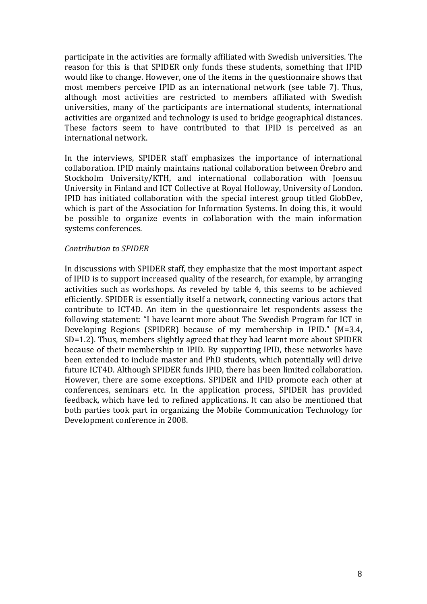participate in the activities are formally affiliated with Swedish universities. The reason for this is that SPIDER only funds these students, something that IPID would like to change. However, one of the items in the questionnaire shows that most members perceive IPID as an international network (see table 7). Thus, although most activities are restricted to members affiliated with Swedish universities, many of the participants are international students, international activities are organized and technology is used to bridge geographical distances. These factors seem to have contributed to that IPID is perceived as an international network.

In the interviews, SPIDER staff emphasizes the importance of international collaboration. IPID mainly maintains national collaboration between Örebro and Stockholm University/KTH, and international collaboration with Joensuu University in Finland and ICT Collective at Royal Holloway, University of London. IPID has initiated collaboration with the special interest group titled GlobDev, which is part of the Association for Information Systems. In doing this, it would be possible to organize events in collaboration with the main information systems conferences.

### *Contribution!to!SPIDER*

In discussions with SPIDER staff, they emphasize that the most important aspect of IPID is to support increased quality of the research, for example, by arranging activities such as workshops. As reveled by table 4, this seems to be achieved efficiently. SPIDER is essentially itself a network, connecting various actors that contribute to ICT4D. An item in the questionnaire let respondents assess the following statement: "I have learnt more about The Swedish Program for ICT in Developing Regions (SPIDER) because of my membership in IPID." (M=3.4, SD=1.2). Thus, members slightly agreed that they had learnt more about SPIDER because of their membership in IPID. By supporting IPID, these networks have been extended to include master and PhD students, which potentially will drive future ICT4D. Although SPIDER funds IPID, there has been limited collaboration. However, there are some exceptions. SPIDER and IPID promote each other at conferences, seminars etc. In the application process, SPIDER has provided feedback, which have led to refined applications. It can also be mentioned that both parties took part in organizing the Mobile Communication Technology for Development conference in 2008.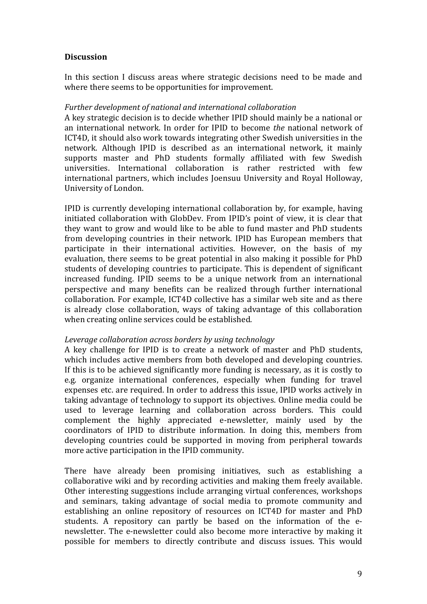# **Discussion!**

In this section I discuss areas where strategic decisions need to be made and where there seems to be opportunities for improvement.

## Further development of national and international collaboration

A key strategic decision is to decide whether IPID should mainly be a national or an international network. In order for IPID to become *the* national network of ICT4D, it should also work towards integrating other Swedish universities in the network. Although IPID is described as an international network, it mainly supports master and PhD students formally affiliated with few Swedish universities. International collaboration is rather restricted with few international partners, which includes Joensuu University and Royal Holloway, University of London.

IPID is currently developing international collaboration by, for example, having initiated collaboration with GlobDev. From IPID's point of view, it is clear that they want to grow and would like to be able to fund master and PhD students from developing countries in their network. IPID has European members that participate in their international activities. However, on the basis of my evaluation, there seems to be great potential in also making it possible for PhD students of developing countries to participate. This is dependent of significant increased funding. IPID seems to be a unique network from an international perspective and many benefits can be realized through further international collaboration. For example, ICT4D collective has a similar web site and as there is already close collaboration, ways of taking advantage of this collaboration when creating online services could be established.

# *Leverage collaboration across borders by using technology*

A key challenge for IPID is to create a network of master and PhD students, which includes active members from both developed and developing countries. If this is to be achieved significantly more funding is necessary, as it is costly to e.g. organize international conferences, especially when funding for travel expenses etc. are required. In order to address this issue. IPID works actively in taking advantage of technology to support its objectives. Online media could be used to leverage learning and collaboration across borders. This could complement the highly appreciated e-newsletter, mainly used by the coordinators of IPID to distribute information. In doing this, members from developing countries could be supported in moving from peripheral towards more active participation in the IPID community.

There have already been promising initiatives, such as establishing a collaborative wiki and by recording activities and making them freely available. Other interesting suggestions include arranging virtual conferences, workshops and seminars, taking advantage of social media to promote community and establishing an online repository of resources on ICT4D for master and PhD students. A repository can partly be based on the information of the enewsletter. The e-newsletter could also become more interactive by making it possible for members to directly contribute and discuss issues. This would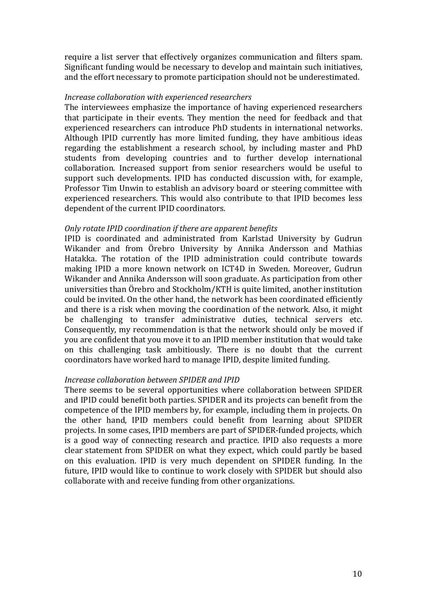require a list server that effectively organizes communication and filters spam. Significant funding would be necessary to develop and maintain such initiatives, and the effort necessary to promote participation should not be underestimated.

#### *Increase collaboration with experienced researchers*

The interviewees emphasize the importance of having experienced researchers that participate in their events. They mention the need for feedback and that experienced researchers can introduce PhD students in international networks. Although IPID currently has more limited funding, they have ambitious ideas regarding the establishment a research school, by including master and PhD students from developing countries and to further develop international collaboration. Increased support from senior researchers would be useful to support such developments. IPID has conducted discussion with, for example, Professor Tim Unwin to establish an advisory board or steering committee with  $\blacksquare$ experienced researchers. This would also contribute to that IPID becomes less dependent of the current IPID coordinators.

#### *Only rotate IPID coordination if there are apparent benefits*

IPID is coordinated and administrated from Karlstad University by Gudrun Wikander and from Örebro University by Annika Andersson and Mathias Hatakka. The rotation of the IPID administration could contribute towards making IPID a more known network on ICT4D in Sweden. Moreover, Gudrun Wikander and Annika Andersson will soon graduate. As participation from other universities than Örebro and Stockholm/KTH is quite limited, another institution could be invited. On the other hand, the network has been coordinated efficiently and there is a risk when moving the coordination of the network. Also, it might be challenging to transfer administrative duties, technical servers etc. Consequently, my recommendation is that the network should only be moved if you are confident that you move it to an IPID member institution that would take on this challenging task ambitiously. There is no doubt that the current coordinators have worked hard to manage IPID, despite limited funding.

#### *Increase collaboration between SPIDER and IPID*

There seems to be several opportunities where collaboration between SPIDER and IPID could benefit both parties. SPIDER and its projects can benefit from the competence of the IPID members by, for example, including them in projects. On the other hand, IPID members could benefit from learning about SPIDER projects. In some cases, IPID members are part of SPIDER-funded projects, which is a good way of connecting research and practice. IPID also requests a more clear statement from SPIDER on what they expect, which could partly be based on this evaluation. IPID is very much dependent on SPIDER funding. In the future, IPID would like to continue to work closely with SPIDER but should also collaborate with and receive funding from other organizations.